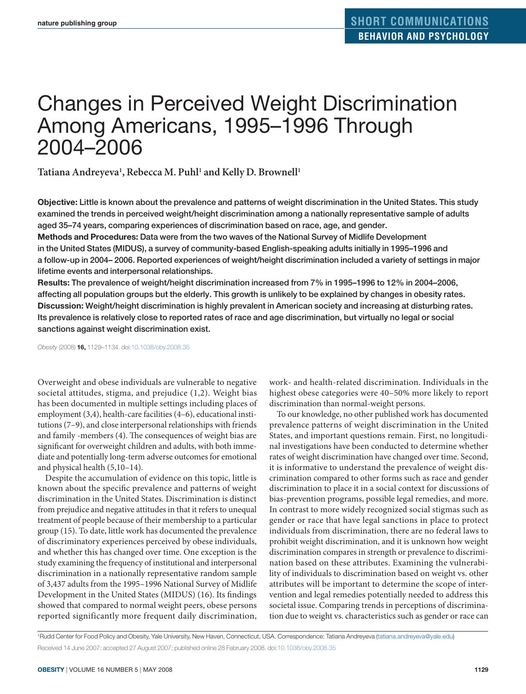# Changes in Perceived Weight Discrimination Among Americans, 1995–1996 Through 2004–2006

Tatiana Andreyeva<sup>1</sup>, Rebecca M. Puhl<sup>1</sup> and Kelly D. Brownell<sup>1</sup>

**Objective:** Little is known about the prevalence and patterns of weight discrimination in the United States. This study examined the trends in perceived weight/height discrimination among a nationally representative sample of adults aged 35–74 years, comparing experiences of discrimination based on race, age, and gender.

**Methods and Procedures:** Data were from the two waves of the National Survey of Midlife Development in the United States (MIDUS), a survey of community-based English-speaking adults initially in 1995–1996 and a follow-up in 2004– 2006. Reported experiences of weight/height discrimination included a variety of settings in major lifetime events and interpersonal relationships.

**Results:** The prevalence of weight/height discrimination increased from 7% in 1995–1996 to 12% in 2004–2006, affecting all population groups but the elderly. This growth is unlikely to be explained by changes in obesity rates. **Discussion:** Weight/height discrimination is highly prevalent in American society and increasing at disturbing rates. Its prevalence is relatively close to reported rates of race and age discrimination, but virtually no legal or social sanctions against weight discrimination exist.

*Obesity* (2008) **16,** 1129–1134. doi[:10.1038/oby.2008.35](http://www.nature.com/doifinder/10.1038/oby.2008.35)

Overweight and obese individuals are vulnerable to negative societal attitudes, stigma, and prejudice (1,2). Weight bias has been documented in multiple settings including places of employment (3,4), health-care facilities (4–6), educational institutions (7–9), and close interpersonal relationships with friends and family -members (4). The consequences of weight bias are significant for overweight children and adults, with both immediate and potentially long-term adverse outcomes for emotional and physical health (5,10–14).

Despite the accumulation of evidence on this topic, little is known about the specific prevalence and patterns of weight discrimination in the United States. Discrimination is distinct from prejudice and negative attitudes in that it refers to unequal treatment of people because of their membership to a particular group (15). To date, little work has documented the prevalence of discriminatory experiences perceived by obese individuals, and whether this has changed over time. One exception is the study examining the frequency of institutional and interpersonal discrimination in a nationally representative random sample of 3,437 adults from the 1995–1996 National Survey of Midlife Development in the United States (MIDUS) (16). Its findings showed that compared to normal weight peers, obese persons reported significantly more frequent daily discrimination, work- and health-related discrimination. Individuals in the highest obese categories were 40–50% more likely to report discrimination than normal-weight persons.

To our knowledge, no other published work has documented prevalence patterns of weight discrimination in the United States, and important questions remain. First, no longitudinal investigations have been conducted to determine whether rates of weight discrimination have changed over time. Second, it is informative to understand the prevalence of weight discrimination compared to other forms such as race and gender discrimination to place it in a social context for discussions of bias-prevention programs, possible legal remedies, and more. In contrast to more widely recognized social stigmas such as gender or race that have legal sanctions in place to protect individuals from discrimination, there are no federal laws to prohibit weight discrimination, and it is unknown how weight discrimination compares in strength or prevalence to discrimination based on these attributes. Examining the vulnerability of individuals to discrimination based on weight vs. other attributes will be important to determine the scope of intervention and legal remedies potentially needed to address this societal issue. Comparing trends in perceptions of discrimination due to weight vs. characteristics such as gender or race can

1 Rudd Center for Food Policy and Obesity, Yale University, New Haven, Connecticut, USA. Correspondence: Tatiana Andreyeva [\(tatiana.andreyeva@yale.edu\)](mailto:tatiana.andreyeva@yale.edu) Received 14 June 2007; accepted 27 August 2007; published online 28 February 2008. doi[:10.1038/oby.2008.35](http://www.nature.com/doifinder/10.1038/oby.2008.35)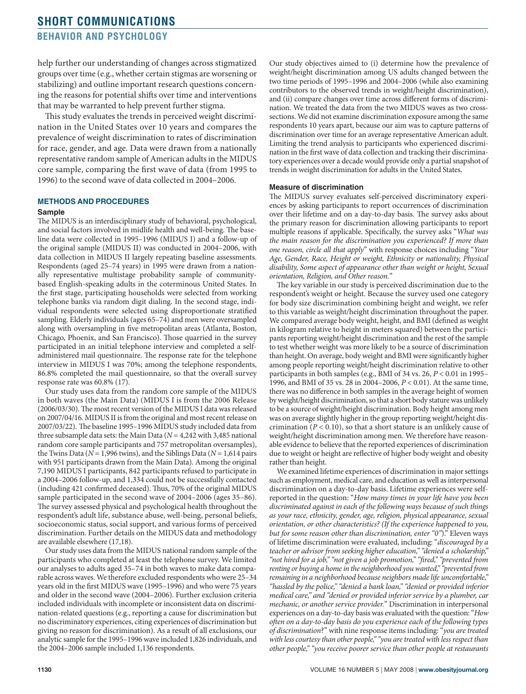# **short communications behavior and psychology**

help further our understanding of changes across stigmatized groups over time (e.g., whether certain stigmas are worsening or stabilizing) and outline important research questions concerning the reasons for potential shifts over time and interventions that may be warranted to help prevent further stigma.

This study evaluates the trends in perceived weight discrimination in the United States over 10 years and compares the prevalence of weight discrimination to rates of discrimination for race, gender, and age. Data were drawn from a nationally representative random sample of American adults in the MIDUS core sample, comparing the first wave of data (from 1995 to 1996) to the second wave of data collected in 2004–2006.

## **Methods And Procedures**

#### **Sample**

The MIDUS is an interdisciplinary study of behavioral, psychological, and social factors involved in midlife health and well-being. The baseline data were collected in 1995–1996 (MIDUS I) and a follow-up of the original sample (MIDUS II) was conducted in 2004–2006, with data collection in MIDUS II largely repeating baseline assessments. Respondents (aged 25–74 years) in 1995 were drawn from a nationally representative multistage probability sample of communitybased English-speaking adults in the coterminous United States. In the first stage, participating households were selected from working telephone banks via random digit dialing. In the second stage, individual respondents were selected using disproportionate stratified sampling. Elderly individuals (ages 65–74) and men were oversampled along with oversampling in five metropolitan areas (Atlanta, Boston, Chicago, Phoenix, and San Francisco). Those quarried in the survey participated in an initial telephone interview and completed a selfadministered mail questionnaire. The response rate for the telephone interview in MIDUS I was 70%; among the telephone respondents, 86.8% completed the mail questionnaire, so that the overall survey response rate was 60.8% (17).

Our study uses data from the random core sample of the MIDUS in both waves (the Main Data) (MIDUS I is from the 2006 Release (2006/03/30). The most recent version of the MIDUS I data was released on 2007/04/16. MIDUS II is from the original and most recent release on 2007/03/22). The baseline 1995–1996 MIDUS study included data from three subsample data sets: the Main Data (*N* = 4,242 with 3,485 national random core sample participants and 757 metropolitan oversamples), the Twins Data (*N* = 1,996 twins), and the Siblings Data (*N* = 1,614 pairs with 951 participants drawn from the Main Data). Among the original 7,190 MIDUS I participants, 842 participants refused to participate in a 2004–2006 follow-up, and 1,334 could not be successfully contacted (including 421 confirmed deceased). Thus, 70% of the original MIDUS sample participated in the second wave of 2004–2006 (ages 35–86). The survey assessed physical and psychological health throughout the respondent's adult life, substance abuse, well-being, personal beliefs, socioeconomic status, social support, and various forms of perceived discrimination. Further details on the MIDUS data and methodology are available elsewhere (17,18).

Our study uses data from the MIDUS national random sample of the participants who completed at least the telephone survey. We limited our analyses to adults aged 35–74 in both waves to make data comparable across waves. We therefore excluded respondents who were 25–34 years old in the first MIDUS wave (1995–1996) and who were 75 years and older in the second wave (2004–2006). Further exclusion criteria included individuals with incomplete or inconsistent data on discrimination-related questions (e.g., reporting a cause for discrimination but no discriminatory experiences, citing experiences of discrimination but giving no reason for discrimination). As a result of all exclusions, our analytic sample for the 1995–1996 wave included 1,826 individuals, and the 2004–2006 sample included 1,136 respondents.

Our study objectives aimed to (i) determine how the prevalence of weight/height discrimination among US adults changed between the two time periods of 1995–1996 and 2004–2006 (while also examining contributors to the observed trends in weight/height discrimination), and (ii) compare changes over time across different forms of discrimination. We treated the data from the two MIDUS waves as two crosssections. We did not examine discrimination exposure among the same respondents 10 years apart, because our aim was to capture patterns of discrimination over time for an average representative American adult. Limiting the trend analysis to participants who experienced discrimination in the first wave of data collection and tracking their discriminatory experiences over a decade would provide only a partial snapshot of trends in weight discrimination for adults in the United States.

#### **Measure of discrimination**

The MIDUS survey evaluates self-perceived discriminatory experiences by asking participants to report occurrences of discrimination over their lifetime and on a day-to-day basis. The survey asks about the primary reason for discrimination allowing participants to report multiple reasons if applicable. Specifically, the survey asks "*What was the main reason for the discrimination you experienced? If more than one reason, circle all that apply*" with response choices including "*Your Age, Gender, Race, Height or weight, Ethnicity or nationality, Physical disability, Some aspect of appearance other than weight or height, Sexual orientation, Religion, and Other reason.*"

The key variable in our study is perceived discrimination due to the respondent's weight or height. Because the survey used one category for body size discrimination combining height and weight, we refer to this variable as weight/height discrimination throughout the paper. We compared average body weight, height, and BMI (defined as weight in kilogram relative to height in meters squared) between the participants reporting weight/height discrimination and the rest of the sample to test whether weight was more likely to be a source of discrimination than height. On average, body weight and BMI were significantly higher among people reporting weight/height discrimination relative to other participants in both samples (e.g., BMI of 34 vs. 26, *P* < 0.01 in 1995– 1996, and BMI of 35 vs. 28 in 2004–2006, *P* < 0.01). At the same time, there was no difference in both samples in the average height of women by weight/height discrimination, so that a short body stature was unlikely to be a source of weight/height discrimination. Body height among men was on average slightly higher in the group reporting weight/height discrimination ( $P < 0.10$ ), so that a short stature is an unlikely cause of weight/height discrimination among men. We therefore have reasonable evidence to believe that the reported experiences of discrimination due to weight or height are reflective of higher body weight and obesity rather than height.

We examined lifetime experiences of discrimination in major settings such as employment, medical care, and education as well as interpersonal discrimination on a day-to-day basis. Lifetime experiences were selfreported in the question: "*How many times in your life have you been discriminated against in each of the following ways because of such things as your race, ethnicity, gender, age, religion, physical appearance, sexual orientation, or other characteristics? (If the experience happened to you, but for some reason other than discrimination, enter "0"*)." Eleven ways of lifetime discrimination were evaluated, including: "*discouraged by a teacher or advisor from seeking higher education," "denied a scholarship," "not hired for a job," "not given a job promotion," "fired," "prevented from renting or buying a home in the neighborhood you wanted," "prevented from remaining in a neighborhood because neighbors made life uncomfortable," "hassled by the police," "denied a bank loan," "denied or provided inferior medical care," and "denied or provided inferior service by a plumber, car mechanic, or another service provider.*" Discrimination in interpersonal experiences on a day-to-day basis was evaluated with the question: "*How often on a day-to-day basis do you experience each of the following types of discrimination*?" with nine response items including: "*you are treated with less courtesy than other people," "you are treated with less respect than other people," "you receive poorer service than other people at restaurants*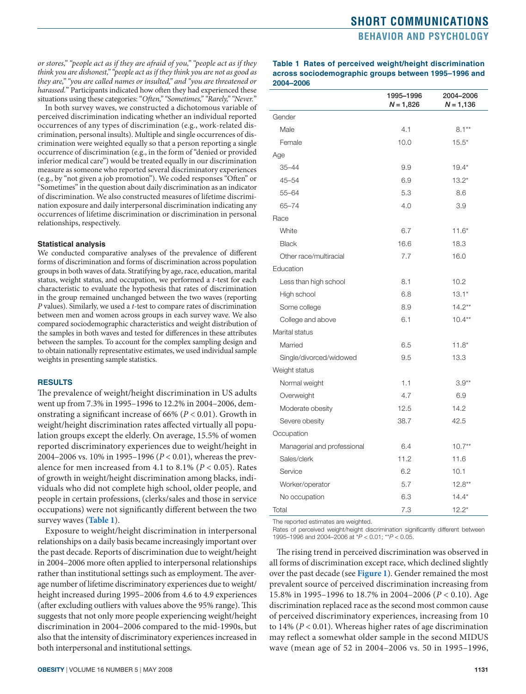<span id="page-2-0"></span>*or stores," "people act as if they are afraid of you," "people act as if they think you are dishonest," "people act as if they think you are not as good as they are," "you are called names or insulted," and "you are threatened or harassed.*" Participants indicated how often they had experienced these situations using these categories: "*Often," "Sometimes," "Rarely," "Never.*"

In both survey waves, we constructed a dichotomous variable of perceived discrimination indicating whether an individual reported occurrences of any types of discrimination (e.g., work-related discrimination, personal insults). Multiple and single occurrences of discrimination were weighted equally so that a person reporting a single occurrence of discrimination (e.g., in the form of "denied or provided inferior medical care") would be treated equally in our discrimination measure as someone who reported several discriminatory experiences (e.g., by "not given a job promotion"). We coded responses "Often" or "Sometimes" in the question about daily discrimination as an indicator of discrimination. We also constructed measures of lifetime discrimination exposure and daily interpersonal discrimination indicating any occurrences of lifetime discrimination or discrimination in personal relationships, respectively.

#### **Statistical analysis**

We conducted comparative analyses of the prevalence of different forms of discrimination and forms of discrimination across population groups in both waves of data. Stratifying by age, race, education, marital status, weight status, and occupation, we performed a *t*-test for each characteristic to evaluate the hypothesis that rates of discrimination in the group remained unchanged between the two waves (reporting *P* values). Similarly, we used a *t*-test to compare rates of discrimination between men and women across groups in each survey wave. We also compared sociodemographic characteristics and weight distribution of the samples in both waves and tested for differences in these attributes between the samples. To account for the complex sampling design and to obtain nationally representative estimates, we used individual sample weights in presenting sample statistics.

#### **Results**

The prevalence of weight/height discrimination in US adults went up from 7.3% in 1995–1996 to 12.2% in 2004–2006, demonstrating a significant increase of 66% (*P* < 0.01). Growth in weight/height discrimination rates affected virtually all population groups except the elderly. On average, 15.5% of women reported discriminatory experiences due to weight/height in 2004–2006 vs. 10% in 1995–1996 (*P* < 0.01), whereas the prevalence for men increased from 4.1 to 8.1% (*P* < 0.05). Rates of growth in weight/height discrimination among blacks, individuals who did not complete high school, older people, and people in certain professions, (clerks/sales and those in service occupations) were not significantly different between the two survey waves (**Table 1**).

Exposure to weight/height discrimination in interpersonal relationships on a daily basis became increasingly important over the past decade. Reports of discrimination due to weight/height in 2004–2006 more often applied to interpersonal relationships rather than institutional settings such as employment. The average number of lifetime discriminatory experiences due to weight/ height increased during 1995–2006 from 4.6 to 4.9 experiences (after excluding outliers with values above the 95% range). This suggests that not only more people experiencing weight/height discrimination in 2004–2006 compared to the mid-1990s, but also that the intensity of discriminatory experiences increased in both interpersonal and institutional settings.

**Table 1 Rates of perceived weight/height discrimination across sociodemographic groups between 1995–1996 and 2004–2006**

|                             | 1995-1996<br>$N = 1,826$ | 2004-2006<br>$N = 1,136$ |
|-----------------------------|--------------------------|--------------------------|
| Gender                      |                          |                          |
| Male                        | 4.1                      | $8.1**$                  |
| Female                      | 10.0                     | $15.5*$                  |
| Age                         |                          |                          |
| $35 - 44$                   | 9.9                      | $19.4*$                  |
| $45 - 54$                   | 6.9                      | $13.2*$                  |
| $55 - 64$                   | 5.3                      | 8.6                      |
| $65 - 74$                   | 4.0                      | 3.9                      |
| Race                        |                          |                          |
| White                       | 6.7                      | $11.6*$                  |
| <b>Black</b>                | 16.6                     | 18.3                     |
| Other race/multiracial      | 7.7                      | 16.0                     |
| Education                   |                          |                          |
| Less than high school       | 8.1                      | 10.2                     |
| High school                 | 6.8                      | $13.1*$                  |
| Some college                | 8.9                      | $14.2**$                 |
| College and above           | 6.1                      | $10.4**$                 |
| Marital status              |                          |                          |
| Married                     | 6.5                      | $11.8*$                  |
| Single/divorced/widowed     | 9.5                      | 13.3                     |
| Weight status               |                          |                          |
| Normal weight               | 1.1                      | $3.9**$                  |
| Overweight                  | 4.7                      | 6.9                      |
| Moderate obesity            | 12.5                     | 14.2                     |
| Severe obesity              | 38.7                     | 42.5                     |
| Occupation                  |                          |                          |
| Managerial and professional | 6.4                      | $10.7**$                 |
| Sales/clerk                 | 11.2                     | 11.6                     |
| Service                     | 6.2                      | 10.1                     |
| Worker/operator             | 5.7                      | $12.8**$                 |
| No occupation               | 6.3                      | $14.4*$                  |
| Total                       | 7.3                      | $12.2*$                  |

The reported estimates are weighted.

Rates of perceived weight/height discrimination significantly different between 1995–1996 and 2004–2006 at \**P* < 0.01; \*\**P* < 0.05.

The rising trend in perceived discrimination was observed in all forms of discrimination except race, which declined slightly over the past decade (see **[Figure 1](#page-3-0)**). Gender remained the most prevalent source of perceived discrimination increasing from 15.8% in 1995–1996 to 18.7% in 2004–2006 (*P* < 0.10). Age discrimination replaced race as the second most common cause of perceived discriminatory experiences, increasing from 10 to 14% (*P* < 0.01). Whereas higher rates of age discrimination may reflect a somewhat older sample in the second MIDUS wave (mean age of 52 in 2004–2006 vs. 50 in 1995–1996,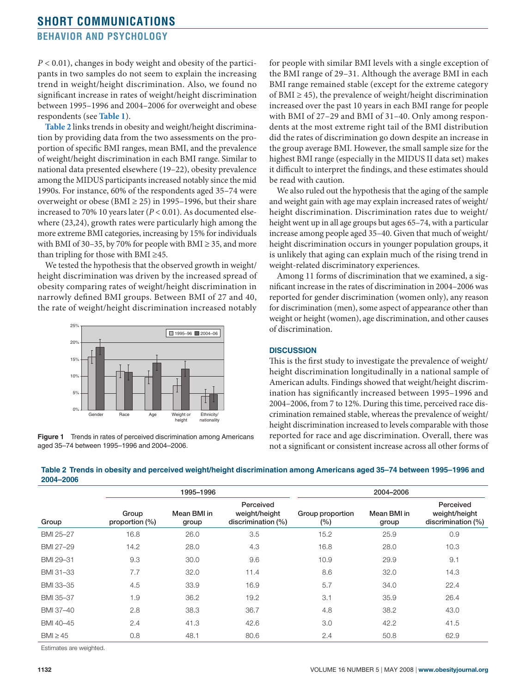<span id="page-3-0"></span>*P* < 0.01), changes in body weight and obesity of the participants in two samples do not seem to explain the increasing trend in weight/height discrimination. Also, we found no significant increase in rates of weight/height discrimination between 1995–1996 and 2004–2006 for overweight and obese respondents (see **[Table](#page-2-0) 1**).

**Table 2** links trends in obesity and weight/height discrimination by providing data from the two assessments on the proportion of specific BMI ranges, mean BMI, and the prevalence of weight/height discrimination in each BMI range. Similar to national data presented elsewhere (19–22), obesity prevalence among the MIDUS participants increased notably since the mid 1990s. For instance, 60% of the respondents aged 35–74 were overweight or obese (BMI  $\geq$  25) in 1995–1996, but their share increased to 70% 10 years later (*P* < 0.01). As documented elsewhere (23,24), growth rates were particularly high among the more extreme BMI categories, increasing by 15% for individuals with BMI of 30–35, by 70% for people with BMI  $\geq$  35, and more than tripling for those with BMI ≥45.

We tested the hypothesis that the observed growth in weight/ height discrimination was driven by the increased spread of obesity comparing rates of weight/height discrimination in narrowly defined BMI groups. Between BMI of 27 and 40, the rate of weight/height discrimination increased notably





for people with similar BMI levels with a single exception of the BMI range of 29–31. Although the average BMI in each BMI range remained stable (except for the extreme category of BMI  $\geq$  45), the prevalence of weight/height discrimination increased over the past 10 years in each BMI range for people with BMI of 27–29 and BMI of 31–40. Only among respondents at the most extreme right tail of the BMI distribution did the rates of discrimination go down despite an increase in the group average BMI. However, the small sample size for the highest BMI range (especially in the MIDUS II data set) makes it difficult to interpret the findings, and these estimates should be read with caution.

We also ruled out the hypothesis that the aging of the sample and weight gain with age may explain increased rates of weight/ height discrimination. Discrimination rates due to weight/ height went up in all age groups but ages 65–74, with a particular increase among people aged 35–40. Given that much of weight/ height discrimination occurs in younger population groups, it is unlikely that aging can explain much of the rising trend in weight-related discriminatory experiences.

Among 11 forms of discrimination that we examined, a significant increase in the rates of discrimination in 2004–2006 was reported for gender discrimination (women only), any reason for discrimination (men), some aspect of appearance other than weight or height (women), age discrimination, and other causes of discrimination.

## **Discussion**

This is the first study to investigate the prevalence of weight/ height discrimination longitudinally in a national sample of American adults. Findings showed that weight/height discrimination has significantly increased between 1995–1996 and 2004–2006, from 7 to 12%. During this time, perceived race discrimination remained stable, whereas the prevalence of weight/ height discrimination increased to levels comparable with those reported for race and age discrimination. Overall, there was not a significant or consistent increase across all other forms of

|              | 1995-1996               |                      |                                                  | 2004-2006               |                      |                                                  |
|--------------|-------------------------|----------------------|--------------------------------------------------|-------------------------|----------------------|--------------------------------------------------|
| Group        | Group<br>proportion (%) | Mean BMI in<br>group | Perceived<br>weight/height<br>discrimination (%) | Group proportion<br>(%) | Mean BMI in<br>group | Perceived<br>weight/height<br>discrimination (%) |
| BMI 25-27    | 16.8                    | 26.0                 | 3.5                                              | 15.2                    | 25.9                 | 0.9                                              |
| BMI 27-29    | 14.2                    | 28.0                 | 4.3                                              | 16.8                    | 28.0                 | 10.3                                             |
| BMI 29-31    | 9.3                     | 30.0                 | 9.6                                              | 10.9                    | 29.9                 | 9.1                                              |
| BMI 31-33    | 7.7                     | 32.0                 | 11.4                                             | 8.6                     | 32.0                 | 14.3                                             |
| BMI 33-35    | 4.5                     | 33.9                 | 16.9                                             | 5.7                     | 34.0                 | 22.4                                             |
| BMI 35-37    | 1.9                     | 36.2                 | 19.2                                             | 3.1                     | 35.9                 | 26.4                                             |
| BMI 37-40    | 2.8                     | 38.3                 | 36.7                                             | 4.8                     | 38.2                 | 43.0                                             |
| BMI 40-45    | 2.4                     | 41.3                 | 42.6                                             | 3.0                     | 42.2                 | 41.5                                             |
| $BM \geq 45$ | 0.8                     | 48.1                 | 80.6                                             | 2.4                     | 50.8                 | 62.9                                             |

**Table 2 Trends in obesity and perceived weight/height discrimination among Americans aged 35–74 between 1995–1996 and 2004–2006**

Estimates are weighted.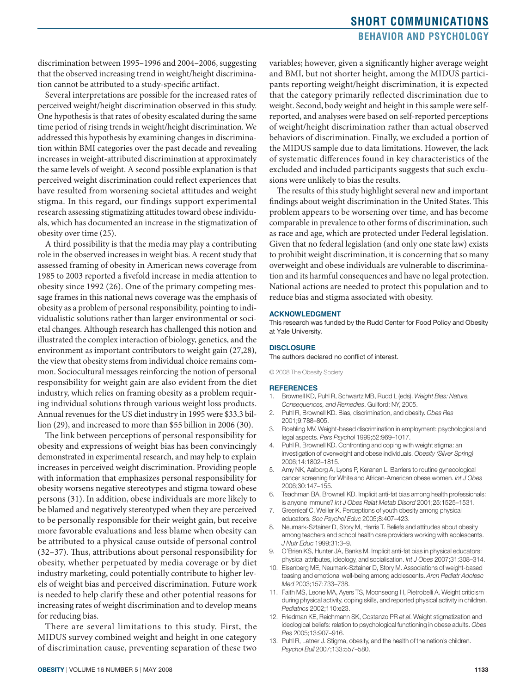# **short communications behavior and psychology**

discrimination between 1995–1996 and 2004–2006, suggesting that the observed increasing trend in weight/height discrimination cannot be attributed to a study-specific artifact.

Several interpretations are possible for the increased rates of perceived weight/height discrimination observed in this study. One hypothesis is that rates of obesity escalated during the same time period of rising trends in weight/height discrimination. We addressed this hypothesis by examining changes in discrimination within BMI categories over the past decade and revealing increases in weight-attributed discrimination at approximately the same levels of weight. A second possible explanation is that perceived weight discrimination could reflect experiences that have resulted from worsening societal attitudes and weight stigma. In this regard, our findings support experimental research assessing stigmatizing attitudes toward obese individuals, which has documented an increase in the stigmatization of obesity over time (25).

A third possibility is that the media may play a contributing role in the observed increases in weight bias. A recent study that assessed framing of obesity in American news coverage from 1985 to 2003 reported a fivefold increase in media attention to obesity since 1992 (26). One of the primary competing message frames in this national news coverage was the emphasis of obesity as a problem of personal responsibility, pointing to individualistic solutions rather than larger environmental or societal changes. Although research has challenged this notion and illustrated the complex interaction of biology, genetics, and the environment as important contributors to weight gain (27,28), the view that obesity stems from individual choice remains common. Sociocultural messages reinforcing the notion of personal responsibility for weight gain are also evident from the diet industry, which relies on framing obesity as a problem requiring individual solutions through various weight loss products. Annual revenues for the US diet industry in 1995 were \$33.3 billion (29), and increased to more than \$55 billion in 2006 (30).

The link between perceptions of personal responsibility for obesity and expressions of weight bias has been convincingly demonstrated in experimental research, and may help to explain increases in perceived weight discrimination. Providing people with information that emphasizes personal responsibility for obesity worsens negative stereotypes and stigma toward obese persons (31). In addition, obese individuals are more likely to be blamed and negatively stereotyped when they are perceived to be personally responsible for their weight gain, but receive more favorable evaluations and less blame when obesity can be attributed to a physical cause outside of personal control (32–37). Thus, attributions about personal responsibility for obesity, whether perpetuated by media coverage or by diet industry marketing, could potentially contribute to higher levels of weight bias and perceived discrimination. Future work is needed to help clarify these and other potential reasons for increasing rates of weight discrimination and to develop means for reducing bias.

There are several limitations to this study. First, the MIDUS survey combined weight and height in one category of discrimination cause, preventing separation of these two variables; however, given a significantly higher average weight and BMI, but not shorter height, among the MIDUS participants reporting weight/height discrimination, it is expected that the category primarily reflected discrimination due to weight. Second, body weight and height in this sample were selfreported, and analyses were based on self-reported perceptions of weight/height discrimination rather than actual observed behaviors of discrimination. Finally, we excluded a portion of the MIDUS sample due to data limitations. However, the lack of systematic differences found in key characteristics of the excluded and included participants suggests that such exclusions were unlikely to bias the results.

The results of this study highlight several new and important findings about weight discrimination in the United States. This problem appears to be worsening over time, and has become comparable in prevalence to other forms of discrimination, such as race and age, which are protected under Federal legislation. Given that no federal legislation (and only one state law) exists to prohibit weight discrimination, it is concerning that so many overweight and obese individuals are vulnerable to discrimination and its harmful consequences and have no legal protection. National actions are needed to protect this population and to reduce bias and stigma associated with obesity.

#### **Acknowledgment**

This research was funded by the Rudd Center for Food Policy and Obesity at Yale University.

#### **Disclosure**

The authors declared no conflict of interest.

© 2008 The Obesity Society

#### **References**

- 1. Brownell KD, Puhl R, Schwartz MB, Rudd L (eds). *Weight Bias: Nature, Consequences, and Remedies*. Guilford: NY, 2005.
- 2. Puhl R, Brownell KD. Bias, discrimination, and obesity. *Obes Res* 2001;9:788–805.
- 3. Roehling MV. Weight-based discrimination in employment: psychological and legal aspects. *Pers Psychol* 1999;52:969–1017.
- 4. Puhl R, Brownell KD. Confronting and coping with weight stigma: an investigation of overweight and obese individuals. *Obesity (Silver Spring)* 2006;14:1802–1815.
- 5. Amy NK, Aalborg A, Lyons P, Keranen L. Barriers to routine gynecological cancer screening for White and African-American obese women. *Int J Obes* 2006;30:147–155.
- 6. Teachman BA, Brownell KD. Implicit anti-fat bias among health professionals: is anyone immune? *Int J Obes Relat Metab Disord* 2001;25:1525–1531.
- 7. Greenleaf C, Weiller K. Perceptions of youth obesity among physical educators. *Soc Psychol Educ* 2005;8:407–423.
- 8. Neumark-Sztainer D, Story M, Harris T. Beliefs and attitudes about obesity among teachers and school health care providers working with adolescents. *J Nutr Educ* 1999;31:3–9.
- 9. O'Brien KS, Hunter JA, Banks M. Implicit anti-fat bias in physical educators: physical attributes, ideology, and socialisation. *Int J Obes* 2007;31:308–314.
- 10. Eisenberg ME, Neumark-Sztainer D, Story M. Associations of weight-based teasing and emotional well-being among adolescents. *Arch Pediatr Adolesc Med* 2003;157:733–738.
- 11. Faith MS, Leone MA, Ayers TS, Moonseong H, Pietrobelli A. Weight criticism during physical activity, coping skills, and reported physical activity in children. *Pediatrics* 2002;110:e23.
- 12. Friedman KE, Reichmann SK, Costanzo PR *et al*. Weight stigmatization and ideological beliefs: relation to psychological functioning in obese adults. *Obes Res* 2005;13:907–916.
- 13. Puhl R, Latner J. Stigma, obesity, and the health of the nation's children. *Psychol Bull* 2007;133:557–580.